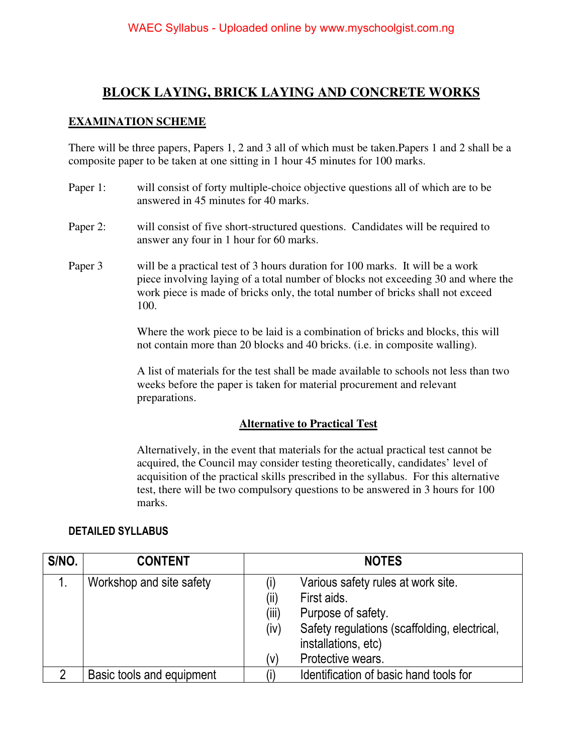## **BLOCK LAYING, BRICK LAYING AND CONCRETE WORKS**

### **EXAMINATION SCHEME**

There will be three papers, Papers 1, 2 and 3 all of which must be taken.Papers 1 and 2 shall be a composite paper to be taken at one sitting in 1 hour 45 minutes for 100 marks.

- Paper 1: will consist of forty multiple-choice objective questions all of which are to be answered in 45 minutes for 40 marks.
- Paper 2: will consist of five short-structured questions. Candidates will be required to answer any four in 1 hour for 60 marks.
- Paper 3 will be a practical test of 3 hours duration for 100 marks. It will be a work piece involving laying of a total number of blocks not exceeding 30 and where the work piece is made of bricks only, the total number of bricks shall not exceed 100.

Where the work piece to be laid is a combination of bricks and blocks, this will not contain more than 20 blocks and 40 bricks. (i.e. in composite walling).

A list of materials for the test shall be made available to schools not less than two weeks before the paper is taken for material procurement and relevant preparations.

#### **Alternative to Practical Test**

 Alternatively, in the event that materials for the actual practical test cannot be acquired, the Council may consider testing theoretically, candidates' level of acquisition of the practical skills prescribed in the syllabus. For this alternative test, there will be two compulsory questions to be answered in 3 hours for 100 marks.

#### **DETAILED SYLLABUS**

| S/NO. | <b>CONTENT</b>            | <b>NOTES</b>                                                                                                                                                                                               |
|-------|---------------------------|------------------------------------------------------------------------------------------------------------------------------------------------------------------------------------------------------------|
|       | Workshop and site safety  | Various safety rules at work site.<br>(i)<br>(ii)<br>First aids.<br>(iii)<br>Purpose of safety.<br>Safety regulations (scaffolding, electrical,<br>(iv)<br>installations, etc)<br>Protective wears.<br>(V) |
| 2     | Basic tools and equipment | Identification of basic hand tools for                                                                                                                                                                     |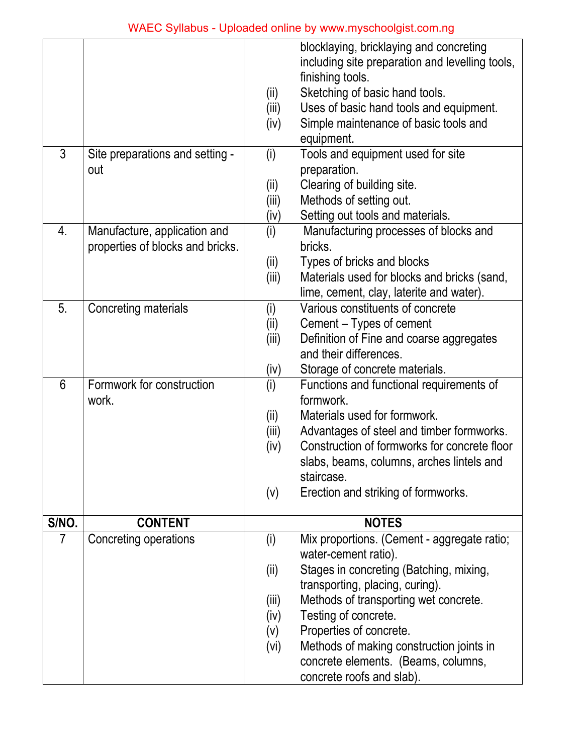|                |                                                                  | (ii)<br>(iii) | blocklaying, bricklaying and concreting<br>including site preparation and levelling tools,<br>finishing tools.<br>Sketching of basic hand tools.<br>Uses of basic hand tools and equipment. |
|----------------|------------------------------------------------------------------|---------------|---------------------------------------------------------------------------------------------------------------------------------------------------------------------------------------------|
|                |                                                                  | (iv)          | Simple maintenance of basic tools and                                                                                                                                                       |
| 3              | Site preparations and setting -                                  | (i)           | equipment.<br>Tools and equipment used for site                                                                                                                                             |
|                | out                                                              |               | preparation.                                                                                                                                                                                |
|                |                                                                  | (ii)          | Clearing of building site.                                                                                                                                                                  |
|                |                                                                  | (iii)         | Methods of setting out.                                                                                                                                                                     |
|                |                                                                  | (iv)          | Setting out tools and materials.                                                                                                                                                            |
| 4.             | Manufacture, application and<br>properties of blocks and bricks. | (i)           | Manufacturing processes of blocks and<br>bricks.                                                                                                                                            |
|                |                                                                  | (ii)          | Types of bricks and blocks                                                                                                                                                                  |
|                |                                                                  | (iii)         | Materials used for blocks and bricks (sand,                                                                                                                                                 |
|                |                                                                  |               | lime, cement, clay, laterite and water).                                                                                                                                                    |
| 5.             | Concreting materials                                             | (i)           | Various constituents of concrete                                                                                                                                                            |
|                |                                                                  | (ii)          | Cement – Types of cement                                                                                                                                                                    |
|                |                                                                  | (iii)         | Definition of Fine and coarse aggregates                                                                                                                                                    |
|                |                                                                  |               | and their differences.                                                                                                                                                                      |
|                |                                                                  | (iv)          | Storage of concrete materials.                                                                                                                                                              |
| 6              | Formwork for construction                                        | (i)           | Functions and functional requirements of                                                                                                                                                    |
|                | work.                                                            |               | formwork.                                                                                                                                                                                   |
|                |                                                                  | (ii)          | Materials used for formwork.                                                                                                                                                                |
|                |                                                                  | (iii)         | Advantages of steel and timber formworks.                                                                                                                                                   |
|                |                                                                  | (iv)          | Construction of formworks for concrete floor                                                                                                                                                |
|                |                                                                  |               | slabs, beams, columns, arches lintels and<br>staircase.                                                                                                                                     |
|                |                                                                  | (v)           | Erection and striking of formworks.                                                                                                                                                         |
|                |                                                                  |               |                                                                                                                                                                                             |
| S/NO.          | <b>CONTENT</b>                                                   |               | <b>NOTES</b>                                                                                                                                                                                |
| $\overline{7}$ | Concreting operations                                            | (i)           | Mix proportions. (Cement - aggregate ratio;<br>water-cement ratio).                                                                                                                         |
|                |                                                                  | (ii)          | Stages in concreting (Batching, mixing,                                                                                                                                                     |
|                |                                                                  |               | transporting, placing, curing).                                                                                                                                                             |
|                |                                                                  | (iii)         | Methods of transporting wet concrete.                                                                                                                                                       |
|                |                                                                  | (iv)          | Testing of concrete.                                                                                                                                                                        |
|                |                                                                  | (v)           | Properties of concrete.                                                                                                                                                                     |
|                |                                                                  | (vi)          | Methods of making construction joints in                                                                                                                                                    |
|                |                                                                  |               | concrete elements. (Beams, columns,                                                                                                                                                         |
|                |                                                                  |               | concrete roofs and slab).                                                                                                                                                                   |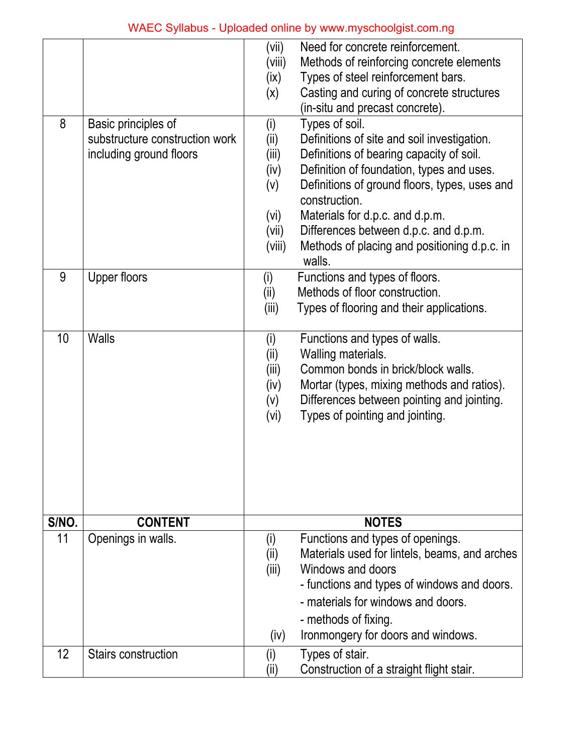|             |                                | (vii)  | Need for concrete reinforcement.                                   |
|-------------|--------------------------------|--------|--------------------------------------------------------------------|
|             |                                | (viii) | Methods of reinforcing concrete elements                           |
|             |                                | (ix)   | Types of steel reinforcement bars.                                 |
|             |                                | (x)    | Casting and curing of concrete structures                          |
|             |                                |        | (in-situ and precast concrete).                                    |
| 8           | Basic principles of            | (i)    | Types of soil.                                                     |
|             | substructure construction work | (i)    | Definitions of site and soil investigation.                        |
|             | including ground floors        | (iii)  | Definitions of bearing capacity of soil.                           |
|             |                                | (iv)   | Definition of foundation, types and uses.                          |
|             |                                | (v)    | Definitions of ground floors, types, uses and<br>construction.     |
|             |                                | (vi)   | Materials for d.p.c. and d.p.m.                                    |
|             |                                | (vii)  | Differences between d.p.c. and d.p.m.                              |
|             |                                | (viii) | Methods of placing and positioning d.p.c. in<br>walls.             |
| 9           | Upper floors                   | (i)    | Functions and types of floors.                                     |
|             |                                | (ii)   | Methods of floor construction.                                     |
|             |                                | (iii)  | Types of flooring and their applications.                          |
|             |                                |        |                                                                    |
| 10          | <b>Walls</b>                   | (i)    | Functions and types of walls.                                      |
|             |                                | (ii)   | Walling materials.                                                 |
|             |                                | (iii)  | Common bonds in brick/block walls.                                 |
|             |                                | (iv)   | Mortar (types, mixing methods and ratios).                         |
|             |                                | (v)    | Differences between pointing and jointing.                         |
|             |                                | (vi)   | Types of pointing and jointing.                                    |
|             |                                |        |                                                                    |
|             |                                |        |                                                                    |
|             |                                |        |                                                                    |
|             |                                |        |                                                                    |
|             |                                |        |                                                                    |
|             | <b>CONTENT</b>                 |        | <b>NOTES</b>                                                       |
| S/NO.<br>11 |                                |        |                                                                    |
|             | Openings in walls.             | (i)    | Functions and types of openings.                                   |
|             |                                | (ii)   | Materials used for lintels, beams, and arches<br>Windows and doors |
|             |                                | (iii)  | - functions and types of windows and doors.                        |
|             |                                |        |                                                                    |
|             |                                |        | - materials for windows and doors.                                 |
|             |                                |        | - methods of fixing.                                               |
|             |                                | (iv)   | Ironmongery for doors and windows.                                 |
| 12          | <b>Stairs construction</b>     | (i)    | Types of stair.                                                    |
|             |                                | (ii)   | Construction of a straight flight stair.                           |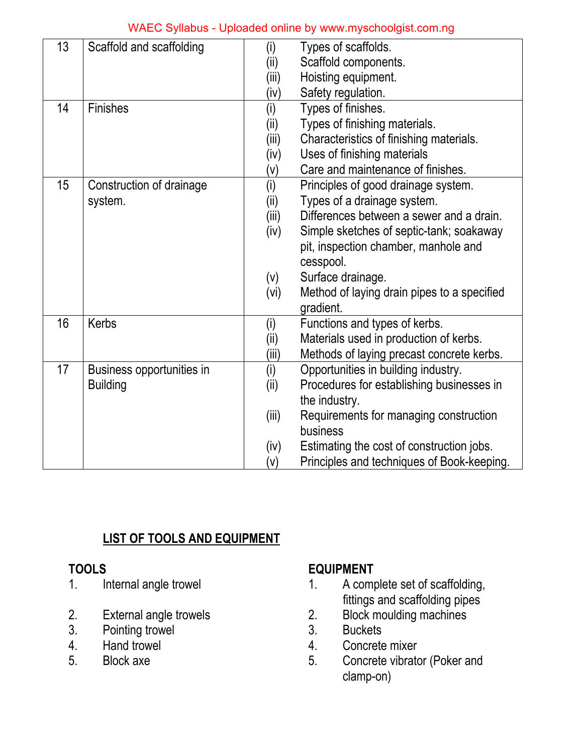| 13 | Scaffold and scaffolding  | (i)   | Types of scaffolds.                         |
|----|---------------------------|-------|---------------------------------------------|
|    |                           | (ii)  | Scaffold components.                        |
|    |                           | (iii) | Hoisting equipment.                         |
|    |                           | (iv)  | Safety regulation.                          |
| 14 | <b>Finishes</b>           | (i)   | Types of finishes.                          |
|    |                           | (ii)  | Types of finishing materials.               |
|    |                           | (iii) | Characteristics of finishing materials.     |
|    |                           | (iv)  | Uses of finishing materials                 |
|    |                           | (v)   | Care and maintenance of finishes.           |
| 15 | Construction of drainage  | (i)   | Principles of good drainage system.         |
|    | system.                   | (ii)  | Types of a drainage system.                 |
|    |                           | (iii) | Differences between a sewer and a drain.    |
|    |                           | (iv)  | Simple sketches of septic-tank; soakaway    |
|    |                           |       | pit, inspection chamber, manhole and        |
|    |                           |       | cesspool.                                   |
|    |                           | (v)   | Surface drainage.                           |
|    |                           | (vi)  | Method of laying drain pipes to a specified |
|    |                           |       | gradient.                                   |
| 16 | <b>Kerbs</b>              | (i)   | Functions and types of kerbs.               |
|    |                           | (i)   | Materials used in production of kerbs.      |
|    |                           | (iii) | Methods of laying precast concrete kerbs.   |
| 17 | Business opportunities in | (i)   | Opportunities in building industry.         |
|    | <b>Building</b>           | (ii)  | Procedures for establishing businesses in   |
|    |                           |       | the industry.                               |
|    |                           | (iii) | Requirements for managing construction      |
|    |                           |       | business                                    |
|    |                           | (iv)  | Estimating the cost of construction jobs.   |
|    |                           | (v)   | Principles and techniques of Book-keeping.  |

## **LIST OF TOOLS AND EQUIPMENT**

- 
- 
- Pointing trowel 3.<br>
Hand trowel 4.
- 
- 

# **TOOLS EQUIPMENT**

- 1. Internal angle trowel 1. A complete set of scaffolding, External angle trowels<br>
External angle trowels<br>
2. Block moulding machines
- 2. External angle trowels 2. Block moulding machines<br>3. Pointing trowel 3. Buckets
	-
- 4. Hand trowel 4. Concrete mixer
- 5. Block axe 5. Concrete vibrator (Poker and clamp-on)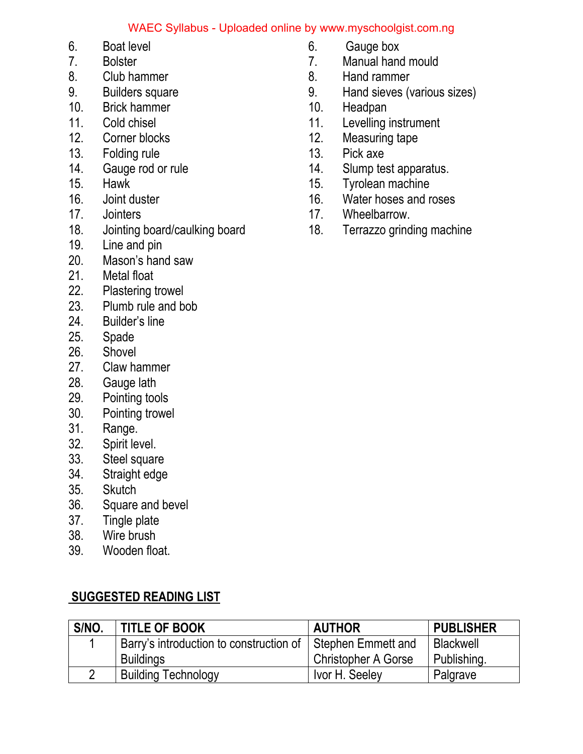- 
- 
- 
- 
- 10. Brick hammer 10. Headpan
- 
- 
- 13. Folding rule 13. Pick axe
- 
- 
- 
- 
- 18. Jointing board/caulking board 18. Terrazzo grinding machine
- 19. Line and pin
- 20. Mason's hand saw
- 21. Metal float
- 22. Plastering trowel<br>23. Plumb rule and be
- 23. Plumb rule and bob<br>24. Builder's line
- Builder's line
- 25. Spade
- 26. Shovel
- 27. Claw hammer<br>28. Gauge lath
- Gauge lath
- 29. Pointing tools<br>30. Pointing trowe
- Pointing trowel
- 31. Range.
- 32. Spirit level.
- 33. Steel square
- 34. Straight edge
- 35. Skutch
- 36. Square and bevel
- 37. Tingle plate
- 38. Wire brush
- 39. Wooden float.

## **SUGGESTED READING LIST**

| S/NO. | <b>TITLE OF BOOK</b>                                         | <b>AUTHOR</b>       | <b>PUBLISHER</b> |
|-------|--------------------------------------------------------------|---------------------|------------------|
|       | Barry's introduction to construction of   Stephen Emmett and |                     | Blackwell        |
|       | <b>Buildings</b>                                             | Christopher A Gorse | Publishing.      |
|       | <b>Building Technology</b>                                   | Ivor H. Seeley      | Palgrave         |

- 6. Boat level 6. Gauge box
	- 7. Bolster 7. Manual hand mould
- 8. Club hammer 6. Hand rammer
- 9. Builders square 9. Hand sieves (various sizes)
	-
- 11. Cold chisel **11.** Cold chisel **11.** Levelling instrument 12. Corner blocks
	- **12.** Measuring tape
		-
- 14. Gauge rod or rule 14. Slump test apparatus.
- 15. Hawk 15. Tyrolean machine
- 16. Joint duster 16. Water hoses and roses
- 17. Jointers **17.** Wheelbarrow.
	-